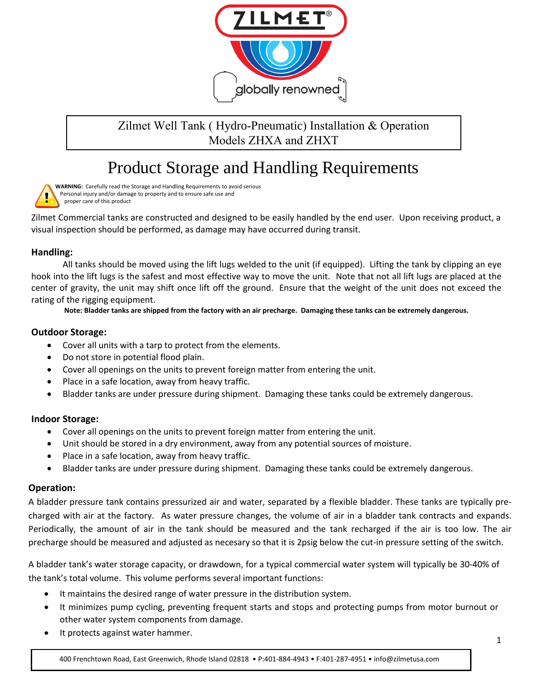

# Zilmet Well Tank ( Hydro-Pneumatic) Installation & Operation Models ZHXA and ZHXT

# Product Storage and Handling Requirements

**WARNING:** Carefully read the Storage and Handling Requirements to avoid serious Personal injury and/or damage to property and to ensure safe use and proper care of this product

Zilmet Commercial tanks are constructed and designed to be easily handled by the end user. Upon receiving product, a visual inspection should be performed, as damage may have occurred during transit.

# **Handling:**

All tanks should be moved using the lift lugs welded to the unit (if equipped). Lifting the tank by clipping an eye hook into the lift lugs is the safest and most effective way to move the unit. Note that not all lift lugs are placed at the center of gravity, the unit may shift once lift off the ground. Ensure that the weight of the unit does not exceed the rating of the rigging equipment.

**Note: Bladder tanks are shipped from the factory with an air precharge. Damaging these tanks can be extremely dangerous.** 

## **Outdoor Storage:**

- Cover all units with a tarp to protect from the elements.
- Do not store in potential flood plain.
- Cover all openings on the units to prevent foreign matter from entering the unit.
- Place in a safe location, away from heavy traffic.
- Bladder tanks are under pressure during shipment. Damaging these tanks could be extremely dangerous.

#### **Indoor Storage:**

- Cover all openings on the units to prevent foreign matter from entering the unit.
- Unit should be stored in a dry environment, away from any potential sources of moisture.
- Place in a safe location, away from heavy traffic.
- Bladder tanks are under pressure during shipment. Damaging these tanks could be extremely dangerous.

#### **Operation:**

A bladder pressure tank contains pressurized air and water, separated by a flexible bladder. These tanks are typically precharged with air at the factory. As water pressure changes, the volume of air in a bladder tank contracts and expands. Periodically, the amount of air in the tank should be measured and the tank recharged if the air is too low. The air precharge should be measured and adjusted as necesary so that it is 2psig below the cut-in pressure setting of the switch.

A bladder tank's water storage capacity, or drawdown, for a typical commercial water system will typically be 30-40% of the tank's total volume. This volume performs several important functions:

- It maintains the desired range of water pressure in the distribution system.
- It minimizes pump cycling, preventing frequent starts and stops and protecting pumps from motor burnout or other water system components from damage.
- It protects against water hammer.